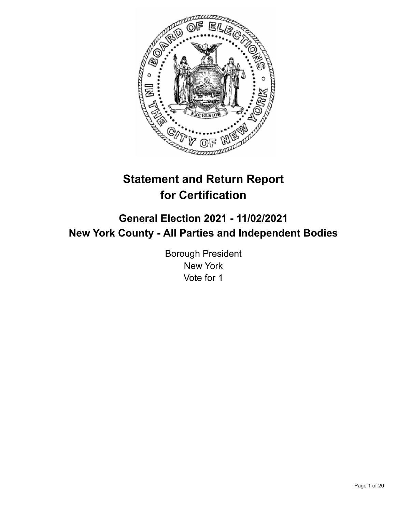

# **Statement and Return Report for Certification**

## **General Election 2021 - 11/02/2021 New York County - All Parties and Independent Bodies**

Borough President New York Vote for 1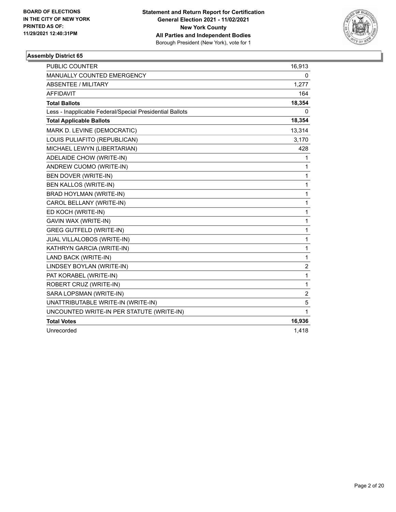

| <b>PUBLIC COUNTER</b>                                    | 16,913         |
|----------------------------------------------------------|----------------|
| <b>MANUALLY COUNTED EMERGENCY</b>                        | 0              |
| ABSENTEE / MILITARY                                      | 1,277          |
| <b>AFFIDAVIT</b>                                         | 164            |
| <b>Total Ballots</b>                                     | 18,354         |
| Less - Inapplicable Federal/Special Presidential Ballots | 0              |
| <b>Total Applicable Ballots</b>                          | 18,354         |
| MARK D. LEVINE (DEMOCRATIC)                              | 13,314         |
| LOUIS PULIAFITO (REPUBLICAN)                             | 3,170          |
| MICHAEL LEWYN (LIBERTARIAN)                              | 428            |
| ADELAIDE CHOW (WRITE-IN)                                 | 1              |
| ANDREW CUOMO (WRITE-IN)                                  | 1              |
| BEN DOVER (WRITE-IN)                                     | 1              |
| BEN KALLOS (WRITE-IN)                                    | 1              |
| BRAD HOYLMAN (WRITE-IN)                                  | $\mathbf{1}$   |
| CAROL BELLANY (WRITE-IN)                                 | 1              |
| ED KOCH (WRITE-IN)                                       | 1              |
| GAVIN WAX (WRITE-IN)                                     | 1              |
| <b>GREG GUTFELD (WRITE-IN)</b>                           | 1              |
| JUAL VILLALOBOS (WRITE-IN)                               | 1              |
| KATHRYN GARCIA (WRITE-IN)                                | 1              |
| LAND BACK (WRITE-IN)                                     | 1              |
| LINDSEY BOYLAN (WRITE-IN)                                | $\overline{c}$ |
| PAT KORABEL (WRITE-IN)                                   | 1              |
| ROBERT CRUZ (WRITE-IN)                                   | 1              |
| SARA LOPSMAN (WRITE-IN)                                  | $\overline{c}$ |
| UNATTRIBUTABLE WRITE-IN (WRITE-IN)                       | 5              |
| UNCOUNTED WRITE-IN PER STATUTE (WRITE-IN)                | 1              |
| <b>Total Votes</b>                                       | 16,936         |
| Unrecorded                                               | 1,418          |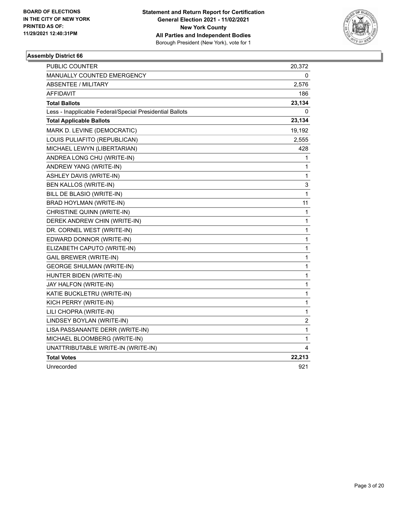

| PUBLIC COUNTER                                           | 20,372       |
|----------------------------------------------------------|--------------|
| <b>MANUALLY COUNTED EMERGENCY</b>                        | 0            |
| <b>ABSENTEE / MILITARY</b>                               | 2,576        |
| <b>AFFIDAVIT</b>                                         | 186          |
| <b>Total Ballots</b>                                     | 23,134       |
| Less - Inapplicable Federal/Special Presidential Ballots | 0            |
| <b>Total Applicable Ballots</b>                          | 23,134       |
| MARK D. LEVINE (DEMOCRATIC)                              | 19,192       |
| LOUIS PULIAFITO (REPUBLICAN)                             | 2,555        |
| MICHAEL LEWYN (LIBERTARIAN)                              | 428          |
| ANDREA LONG CHU (WRITE-IN)                               | 1            |
| ANDREW YANG (WRITE-IN)                                   | 1            |
| <b>ASHLEY DAVIS (WRITE-IN)</b>                           | 1            |
| <b>BEN KALLOS (WRITE-IN)</b>                             | 3            |
| BILL DE BLASIO (WRITE-IN)                                | 1            |
| BRAD HOYLMAN (WRITE-IN)                                  | 11           |
| CHRISTINE QUINN (WRITE-IN)                               | $\mathbf 1$  |
| DEREK ANDREW CHIN (WRITE-IN)                             | 1            |
| DR. CORNEL WEST (WRITE-IN)                               | 1            |
| EDWARD DONNOR (WRITE-IN)                                 | 1            |
| ELIZABETH CAPUTO (WRITE-IN)                              | 1            |
| <b>GAIL BREWER (WRITE-IN)</b>                            | 1            |
| <b>GEORGE SHULMAN (WRITE-IN)</b>                         | 1            |
| HUNTER BIDEN (WRITE-IN)                                  | 1            |
| JAY HALFON (WRITE-IN)                                    | 1            |
| KATIE BUCKLETRU (WRITE-IN)                               | $\mathbf{1}$ |
| KICH PERRY (WRITE-IN)                                    | 1            |
| LILI CHOPRA (WRITE-IN)                                   | 1            |
| LINDSEY BOYLAN (WRITE-IN)                                | 2            |
| LISA PASSANANTE DERR (WRITE-IN)                          | 1            |
| MICHAEL BLOOMBERG (WRITE-IN)                             | 1            |
| UNATTRIBUTABLE WRITE-IN (WRITE-IN)                       | 4            |
| <b>Total Votes</b>                                       | 22,213       |
| Unrecorded                                               | 921          |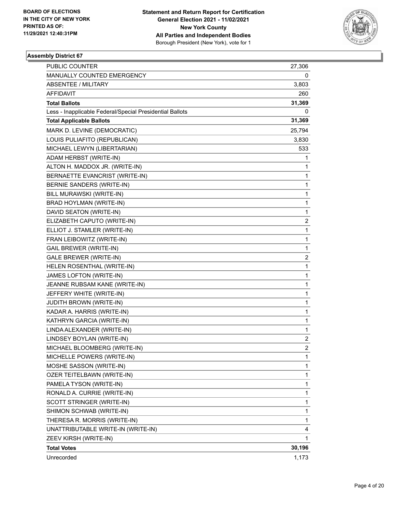

| <b>PUBLIC COUNTER</b>                                    | 27,306                  |
|----------------------------------------------------------|-------------------------|
| MANUALLY COUNTED EMERGENCY                               | 0                       |
| <b>ABSENTEE / MILITARY</b>                               | 3,803                   |
| AFFIDAVIT                                                | 260                     |
| <b>Total Ballots</b>                                     | 31,369                  |
| Less - Inapplicable Federal/Special Presidential Ballots | 0                       |
| <b>Total Applicable Ballots</b>                          | 31,369                  |
| MARK D. LEVINE (DEMOCRATIC)                              | 25,794                  |
| LOUIS PULIAFITO (REPUBLICAN)                             | 3,830                   |
| MICHAEL LEWYN (LIBERTARIAN)                              | 533                     |
| ADAM HERBST (WRITE-IN)                                   | 1                       |
| ALTON H. MADDOX JR. (WRITE-IN)                           | 1                       |
| BERNAETTE EVANCRIST (WRITE-IN)                           | 1                       |
| BERNIE SANDERS (WRITE-IN)                                | $\mathbf{1}$            |
| BILL MURAWSKI (WRITE-IN)                                 | 1                       |
| BRAD HOYLMAN (WRITE-IN)                                  | 1                       |
| DAVID SEATON (WRITE-IN)                                  | $\mathbf{1}$            |
| ELIZABETH CAPUTO (WRITE-IN)                              | $\overline{\mathbf{c}}$ |
| ELLIOT J. STAMLER (WRITE-IN)                             | 1                       |
| FRAN LEIBOWITZ (WRITE-IN)                                | $\mathbf{1}$            |
| <b>GAIL BREWER (WRITE-IN)</b>                            | 1                       |
| GALE BREWER (WRITE-IN)                                   | 2                       |
| HELEN ROSENTHAL (WRITE-IN)                               | $\mathbf{1}$            |
| JAMES LOFTON (WRITE-IN)                                  | 1                       |
| JEANNE RUBSAM KANE (WRITE-IN)                            | 1                       |
| JEFFERY WHITE (WRITE-IN)                                 | $\mathbf{1}$            |
| <b>JUDITH BROWN (WRITE-IN)</b>                           | 1                       |
| KADAR A. HARRIS (WRITE-IN)                               | 1                       |
| KATHRYN GARCIA (WRITE-IN)                                | $\mathbf{1}$            |
| LINDA ALEXANDER (WRITE-IN)                               | 1                       |
| LINDSEY BOYLAN (WRITE-IN)                                | 2                       |
| MICHAEL BLOOMBERG (WRITE-IN)                             | $\overline{c}$          |
| MICHELLE POWERS (WRITE-IN)                               | 1                       |
| MOSHE SASSON (WRITE-IN)                                  | 1                       |
| OZER TEITELBAWN (WRITE-IN)                               | $\mathbf{1}$            |
| PAMELA TYSON (WRITE-IN)                                  | 1                       |
| RONALD A. CURRIE (WRITE-IN)                              | 1                       |
| SCOTT STRINGER (WRITE-IN)                                | $\mathbf{1}$            |
| SHIMON SCHWAB (WRITE-IN)                                 | 1                       |
| THERESA R. MORRIS (WRITE-IN)                             | 1                       |
| UNATTRIBUTABLE WRITE-IN (WRITE-IN)                       | 4                       |
| ZEEV KIRSH (WRITE-IN)                                    | 1                       |
| <b>Total Votes</b>                                       | 30,196                  |
| Unrecorded                                               | 1,173                   |
|                                                          |                         |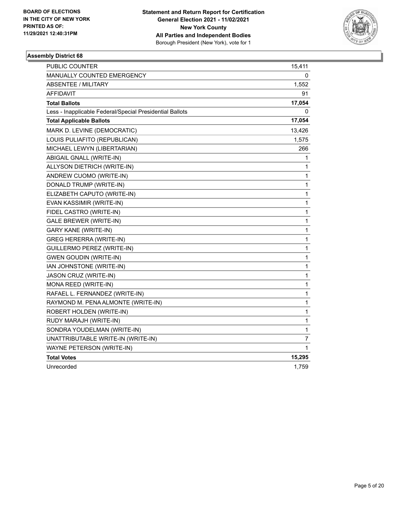

| <b>PUBLIC COUNTER</b>                                    | 15,411       |
|----------------------------------------------------------|--------------|
| <b>MANUALLY COUNTED EMERGENCY</b>                        | 0            |
| <b>ABSENTEE / MILITARY</b>                               | 1,552        |
| <b>AFFIDAVIT</b>                                         | 91           |
| <b>Total Ballots</b>                                     | 17,054       |
| Less - Inapplicable Federal/Special Presidential Ballots | 0            |
| <b>Total Applicable Ballots</b>                          | 17,054       |
| MARK D. LEVINE (DEMOCRATIC)                              | 13,426       |
| LOUIS PULIAFITO (REPUBLICAN)                             | 1,575        |
| MICHAEL LEWYN (LIBERTARIAN)                              | 266          |
| ABIGAIL GNALL (WRITE-IN)                                 | 1            |
| ALLYSON DIETRICH (WRITE-IN)                              | 1            |
| ANDREW CUOMO (WRITE-IN)                                  | 1            |
| DONALD TRUMP (WRITE-IN)                                  | 1            |
| ELIZABETH CAPUTO (WRITE-IN)                              | 1            |
| EVAN KASSIMIR (WRITE-IN)                                 | $\mathbf{1}$ |
| FIDEL CASTRO (WRITE-IN)                                  | $\mathbf{1}$ |
| <b>GALE BREWER (WRITE-IN)</b>                            | 1            |
| <b>GARY KANE (WRITE-IN)</b>                              | 1            |
| <b>GREG HERERRA (WRITE-IN)</b>                           | 1            |
| GUILLERMO PEREZ (WRITE-IN)                               | $\mathbf{1}$ |
| <b>GWEN GOUDIN (WRITE-IN)</b>                            | $\mathbf{1}$ |
| IAN JOHNSTONE (WRITE-IN)                                 | 1            |
| JASON CRUZ (WRITE-IN)                                    | 1            |
| MONA REED (WRITE-IN)                                     | $\mathbf{1}$ |
| RAFAEL L. FERNANDEZ (WRITE-IN)                           | $\mathbf{1}$ |
| RAYMOND M. PENA ALMONTE (WRITE-IN)                       | $\mathbf{1}$ |
| ROBERT HOLDEN (WRITE-IN)                                 | 1            |
| RUDY MARAJH (WRITE-IN)                                   | 1            |
| SONDRA YOUDELMAN (WRITE-IN)                              | $\mathbf{1}$ |
| UNATTRIBUTABLE WRITE-IN (WRITE-IN)                       | 7            |
| WAYNE PETERSON (WRITE-IN)                                | 1            |
| <b>Total Votes</b>                                       | 15,295       |
| Unrecorded                                               | 1,759        |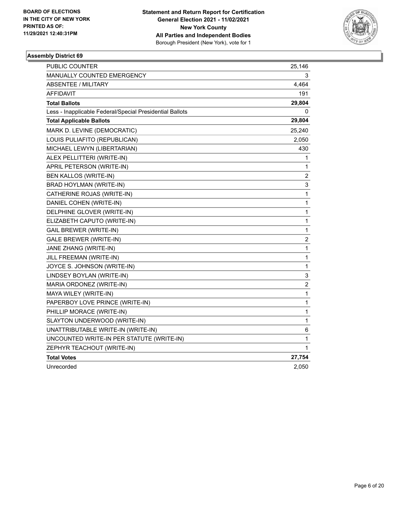

| <b>PUBLIC COUNTER</b>                                    | 25,146           |
|----------------------------------------------------------|------------------|
| <b>MANUALLY COUNTED EMERGENCY</b>                        | 3                |
| <b>ABSENTEE / MILITARY</b>                               | 4,464            |
| <b>AFFIDAVIT</b>                                         | 191              |
| <b>Total Ballots</b>                                     | 29,804           |
| Less - Inapplicable Federal/Special Presidential Ballots | 0                |
| <b>Total Applicable Ballots</b>                          | 29,804           |
| MARK D. LEVINE (DEMOCRATIC)                              | 25,240           |
| LOUIS PULIAFITO (REPUBLICAN)                             | 2,050            |
| MICHAEL LEWYN (LIBERTARIAN)                              | 430              |
| ALEX PELLITTERI (WRITE-IN)                               | 1                |
| APRIL PETERSON (WRITE-IN)                                | 1                |
| <b>BEN KALLOS (WRITE-IN)</b>                             | $\overline{c}$   |
| BRAD HOYLMAN (WRITE-IN)                                  | 3                |
| CATHERINE ROJAS (WRITE-IN)                               | 1                |
| DANIEL COHEN (WRITE-IN)                                  | $\mathbf{1}$     |
| DELPHINE GLOVER (WRITE-IN)                               | 1                |
| ELIZABETH CAPUTO (WRITE-IN)                              | 1                |
| <b>GAIL BREWER (WRITE-IN)</b>                            | 1                |
| <b>GALE BREWER (WRITE-IN)</b>                            | 2                |
| JANE ZHANG (WRITE-IN)                                    | $\mathbf{1}$     |
| JILL FREEMAN (WRITE-IN)                                  | 1                |
| JOYCE S. JOHNSON (WRITE-IN)                              | 1                |
| LINDSEY BOYLAN (WRITE-IN)                                | 3                |
| MARIA ORDONEZ (WRITE-IN)                                 | $\boldsymbol{2}$ |
| MAYA WILEY (WRITE-IN)                                    | 1                |
| PAPERBOY LOVE PRINCE (WRITE-IN)                          | 1                |
| PHILLIP MORACE (WRITE-IN)                                | 1                |
| SLAYTON UNDERWOOD (WRITE-IN)                             | 1                |
| UNATTRIBUTABLE WRITE-IN (WRITE-IN)                       | 6                |
| UNCOUNTED WRITE-IN PER STATUTE (WRITE-IN)                | 1                |
| ZEPHYR TEACHOUT (WRITE-IN)                               | 1                |
| <b>Total Votes</b>                                       | 27,754           |
| Unrecorded                                               | 2.050            |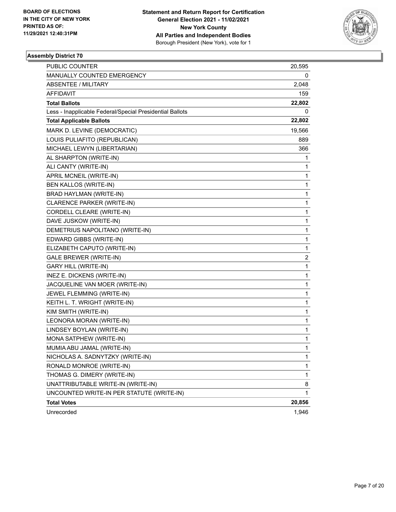

| <b>PUBLIC COUNTER</b>                                    | 20,595                  |
|----------------------------------------------------------|-------------------------|
| MANUALLY COUNTED EMERGENCY                               | 0                       |
| <b>ABSENTEE / MILITARY</b>                               | 2,048                   |
| AFFIDAVIT                                                | 159                     |
| <b>Total Ballots</b>                                     | 22,802                  |
| Less - Inapplicable Federal/Special Presidential Ballots | 0                       |
| <b>Total Applicable Ballots</b>                          | 22,802                  |
| MARK D. LEVINE (DEMOCRATIC)                              | 19,566                  |
| LOUIS PULIAFITO (REPUBLICAN)                             | 889                     |
| MICHAEL LEWYN (LIBERTARIAN)                              | 366                     |
| AL SHARPTON (WRITE-IN)                                   | 1                       |
| ALI CANTY (WRITE-IN)                                     | 1                       |
| APRIL MCNEIL (WRITE-IN)                                  | 1                       |
| BEN KALLOS (WRITE-IN)                                    | 1                       |
| BRAD HAYLMAN (WRITE-IN)                                  | 1                       |
| CLARENCE PARKER (WRITE-IN)                               | 1                       |
| CORDELL CLEARE (WRITE-IN)                                | 1                       |
| DAVE JUSKOW (WRITE-IN)                                   | 1                       |
| DEMETRIUS NAPOLITANO (WRITE-IN)                          | 1                       |
| EDWARD GIBBS (WRITE-IN)                                  | 1                       |
| ELIZABETH CAPUTO (WRITE-IN)                              | 1                       |
| <b>GALE BREWER (WRITE-IN)</b>                            | $\overline{\mathbf{c}}$ |
| <b>GARY HILL (WRITE-IN)</b>                              | 1                       |
| INEZ E. DICKENS (WRITE-IN)                               | 1                       |
| JACQUELINE VAN MOER (WRITE-IN)                           | 1                       |
| JEWEL FLEMMING (WRITE-IN)                                | 1                       |
| KEITH L. T. WRIGHT (WRITE-IN)                            | 1                       |
| KIM SMITH (WRITE-IN)                                     | 1                       |
| LEONORA MORAN (WRITE-IN)                                 | 1                       |
| LINDSEY BOYLAN (WRITE-IN)                                | 1                       |
| MONA SATPHEW (WRITE-IN)                                  | 1                       |
| MUMIA ABU JAMAL (WRITE-IN)                               | 1                       |
| NICHOLAS A. SADNYTZKY (WRITE-IN)                         | 1                       |
| RONALD MONROE (WRITE-IN)                                 | 1                       |
| THOMAS G. DIMERY (WRITE-IN)                              | 1                       |
| UNATTRIBUTABLE WRITE-IN (WRITE-IN)                       | 8                       |
| UNCOUNTED WRITE-IN PER STATUTE (WRITE-IN)                | 1                       |
| <b>Total Votes</b>                                       | 20,856                  |
| Unrecorded                                               | 1,946                   |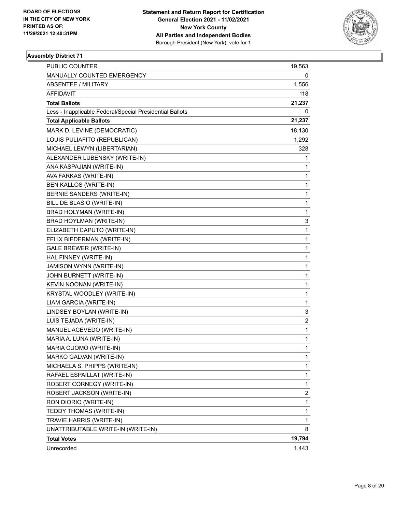

| PUBLIC COUNTER                                           | 19,563       |
|----------------------------------------------------------|--------------|
| MANUALLY COUNTED EMERGENCY                               | 0            |
| <b>ABSENTEE / MILITARY</b>                               | 1,556        |
| AFFIDAVIT                                                | 118          |
| <b>Total Ballots</b>                                     | 21,237       |
| Less - Inapplicable Federal/Special Presidential Ballots | 0            |
| <b>Total Applicable Ballots</b>                          | 21,237       |
| MARK D. LEVINE (DEMOCRATIC)                              | 18,130       |
| LOUIS PULIAFITO (REPUBLICAN)                             | 1,292        |
| MICHAEL LEWYN (LIBERTARIAN)                              | 328          |
| ALEXANDER LUBENSKY (WRITE-IN)                            | 1            |
| ANA KASPAJIAN (WRITE-IN)                                 | 1            |
| AVA FARKAS (WRITE-IN)                                    | 1            |
| BEN KALLOS (WRITE-IN)                                    | 1            |
| BERNIE SANDERS (WRITE-IN)                                | 1            |
| BILL DE BLASIO (WRITE-IN)                                | 1            |
| BRAD HOLYMAN (WRITE-IN)                                  | 1            |
| BRAD HOYLMAN (WRITE-IN)                                  | 3            |
| ELIZABETH CAPUTO (WRITE-IN)                              | 1            |
| FELIX BIEDERMAN (WRITE-IN)                               | 1            |
| <b>GALE BREWER (WRITE-IN)</b>                            | 1            |
| HAL FINNEY (WRITE-IN)                                    | $\mathbf{1}$ |
| <b>JAMISON WYNN (WRITE-IN)</b>                           | 1            |
| JOHN BURNETT (WRITE-IN)                                  | 1            |
| KEVIN NOONAN (WRITE-IN)                                  | $\mathbf{1}$ |
| KRYSTAL WOODLEY (WRITE-IN)                               | 1            |
| LIAM GARCIA (WRITE-IN)                                   | 1            |
| LINDSEY BOYLAN (WRITE-IN)                                | 3            |
| LUIS TEJADA (WRITE-IN)                                   | 2            |
| MANUEL ACEVEDO (WRITE-IN)                                | 1            |
| MARIA A. LUNA (WRITE-IN)                                 | $\mathbf{1}$ |
| MARIA CUOMO (WRITE-IN)                                   | $\mathbf{1}$ |
| MARKO GALVAN (WRITE-IN)                                  | 1            |
| MICHAELA S. PHIPPS (WRITE-IN)                            | 1            |
| RAFAEL ESPAILLAT (WRITE-IN)                              | 1            |
| ROBERT CORNEGY (WRITE-IN)                                | 1            |
| ROBERT JACKSON (WRITE-IN)                                | 2            |
| RON DIORIO (WRITE-IN)                                    | 1            |
| TEDDY THOMAS (WRITE-IN)                                  | 1            |
| TRAVIE HARRIS (WRITE-IN)                                 | 1            |
| UNATTRIBUTABLE WRITE-IN (WRITE-IN)                       | 8            |
| <b>Total Votes</b>                                       | 19,794       |
| Unrecorded                                               | 1,443        |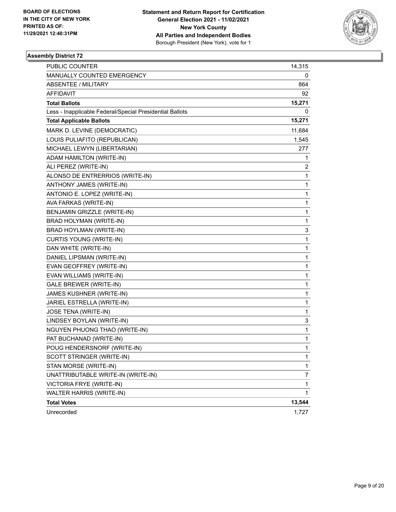

| PUBLIC COUNTER                                           | 14,315 |
|----------------------------------------------------------|--------|
| MANUALLY COUNTED EMERGENCY                               | 0      |
| <b>ABSENTEE / MILITARY</b>                               | 864    |
| AFFIDAVIT                                                | 92     |
| <b>Total Ballots</b>                                     | 15,271 |
| Less - Inapplicable Federal/Special Presidential Ballots | 0      |
| <b>Total Applicable Ballots</b>                          | 15,271 |
| MARK D. LEVINE (DEMOCRATIC)                              | 11,684 |
| LOUIS PULIAFITO (REPUBLICAN)                             | 1,545  |
| MICHAEL LEWYN (LIBERTARIAN)                              | 277    |
| ADAM HAMILTON (WRITE-IN)                                 | 1      |
| ALI PEREZ (WRITE-IN)                                     | 2      |
| ALONSO DE ENTRERRIOS (WRITE-IN)                          | 1      |
| ANTHONY JAMES (WRITE-IN)                                 | 1      |
| ANTONIO E. LOPEZ (WRITE-IN)                              | 1      |
| AVA FARKAS (WRITE-IN)                                    | 1      |
| BENJAMIN GRIZZLE (WRITE-IN)                              | 1      |
| BRAD HOLYMAN (WRITE-IN)                                  | 1      |
| BRAD HOYLMAN (WRITE-IN)                                  | 3      |
| CURTIS YOUNG (WRITE-IN)                                  | 1      |
| DAN WHITE (WRITE-IN)                                     | 1      |
| DANIEL LIPSMAN (WRITE-IN)                                | 1      |
| EVAN GEOFFREY (WRITE-IN)                                 | 1      |
| EVAN WILLIAMS (WRITE-IN)                                 | 1      |
| GALE BREWER (WRITE-IN)                                   | 1      |
| JAMES KUSHNER (WRITE-IN)                                 | 1      |
| JARIEL ESTRELLA (WRITE-IN)                               | 1      |
| JOSE TENA (WRITE-IN)                                     | 1      |
| LINDSEY BOYLAN (WRITE-IN)                                | 3      |
| NGUYEN PHUONG THAO (WRITE-IN)                            | 1      |
| PAT BUCHANAD (WRITE-IN)                                  | 1      |
| POUG HENDERSNORF (WRITE-IN)                              | 1      |
| SCOTT STRINGER (WRITE-IN)                                | 1      |
| STAN MORSE (WRITE-IN)                                    | 1      |
| UNATTRIBUTABLE WRITE-IN (WRITE-IN)                       | 7      |
| VICTORIA FRYE (WRITE-IN)                                 | 1      |
| WALTER HARRIS (WRITE-IN)                                 | 1      |
| <b>Total Votes</b>                                       | 13,544 |
| Unrecorded                                               | 1,727  |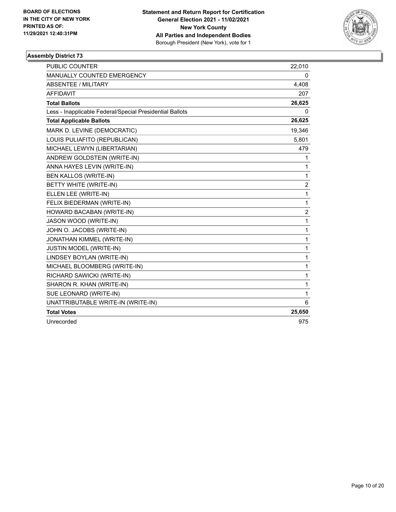

| <b>PUBLIC COUNTER</b>                                    | 22,010         |
|----------------------------------------------------------|----------------|
| <b>MANUALLY COUNTED EMERGENCY</b>                        | 0              |
| <b>ABSENTEE / MILITARY</b>                               | 4,408          |
| <b>AFFIDAVIT</b>                                         | 207            |
| <b>Total Ballots</b>                                     | 26,625         |
| Less - Inapplicable Federal/Special Presidential Ballots | 0              |
| <b>Total Applicable Ballots</b>                          | 26,625         |
| MARK D. LEVINE (DEMOCRATIC)                              | 19,346         |
| LOUIS PULIAFITO (REPUBLICAN)                             | 5,801          |
| MICHAEL LEWYN (LIBERTARIAN)                              | 479            |
| ANDREW GOLDSTEIN (WRITE-IN)                              | 1              |
| ANNA HAYES LEVIN (WRITE-IN)                              | 1              |
| <b>BEN KALLOS (WRITE-IN)</b>                             | 1              |
| BETTY WHITE (WRITE-IN)                                   | 2              |
| ELLEN LEE (WRITE-IN)                                     | 1              |
| FELIX BIEDERMAN (WRITE-IN)                               | 1              |
| HOWARD BACABAN (WRITE-IN)                                | $\overline{2}$ |
| JASON WOOD (WRITE-IN)                                    | 1              |
| JOHN O. JACOBS (WRITE-IN)                                | 1              |
| JONATHAN KIMMEL (WRITE-IN)                               | 1              |
| JUSTIN MODEL (WRITE-IN)                                  | 1              |
| LINDSEY BOYLAN (WRITE-IN)                                | 1              |
| MICHAEL BLOOMBERG (WRITE-IN)                             | 1              |
| RICHARD SAWICKI (WRITE-IN)                               | 1              |
| SHARON R. KHAN (WRITE-IN)                                | 1              |
| SUE LEONARD (WRITE-IN)                                   | 1              |
| UNATTRIBUTABLE WRITE-IN (WRITE-IN)                       | 6              |
| <b>Total Votes</b>                                       | 25,650         |
| Unrecorded                                               | 975            |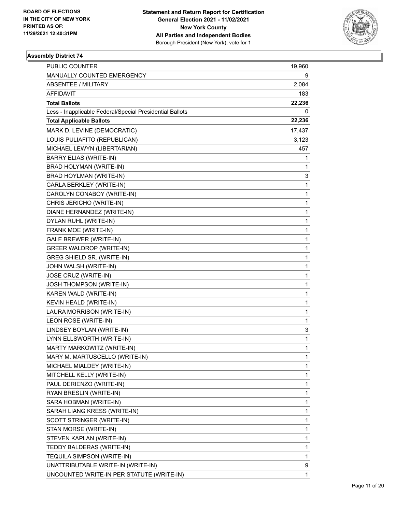

| <b>PUBLIC COUNTER</b>                                    | 19,960 |
|----------------------------------------------------------|--------|
| MANUALLY COUNTED EMERGENCY                               | 9      |
| <b>ABSENTEE / MILITARY</b>                               | 2,084  |
| AFFIDAVIT                                                | 183    |
| <b>Total Ballots</b>                                     | 22,236 |
| Less - Inapplicable Federal/Special Presidential Ballots | 0      |
| <b>Total Applicable Ballots</b>                          | 22,236 |
| MARK D. LEVINE (DEMOCRATIC)                              | 17,437 |
| LOUIS PULIAFITO (REPUBLICAN)                             | 3,123  |
| MICHAEL LEWYN (LIBERTARIAN)                              | 457    |
| <b>BARRY ELIAS (WRITE-IN)</b>                            | 1      |
| BRAD HOLYMAN (WRITE-IN)                                  | 1      |
| BRAD HOYLMAN (WRITE-IN)                                  | 3      |
| CARLA BERKLEY (WRITE-IN)                                 | 1      |
| CAROLYN CONABOY (WRITE-IN)                               | 1      |
| CHRIS JERICHO (WRITE-IN)                                 | 1      |
| DIANE HERNANDEZ (WRITE-IN)                               | 1      |
| DYLAN RUHL (WRITE-IN)                                    | 1      |
| FRANK MOE (WRITE-IN)                                     | 1      |
| <b>GALE BREWER (WRITE-IN)</b>                            | 1      |
| <b>GREER WALDROP (WRITE-IN)</b>                          | 1      |
| GREG SHIELD SR. (WRITE-IN)                               | 1      |
| JOHN WALSH (WRITE-IN)                                    | 1      |
| JOSE CRUZ (WRITE-IN)                                     | 1      |
| JOSH THOMPSON (WRITE-IN)                                 | 1      |
| KAREN WALD (WRITE-IN)                                    | 1      |
| KEVIN HEALD (WRITE-IN)                                   | 1      |
| LAURA MORRISON (WRITE-IN)                                | 1      |
| LEON ROSE (WRITE-IN)                                     | 1      |
| LINDSEY BOYLAN (WRITE-IN)                                | 3      |
| LYNN ELLSWORTH (WRITE-IN)                                | 1      |
| MARTY MARKOWITZ (WRITE-IN)                               | 1      |
| MARY M. MARTUSCELLO (WRITE-IN)                           | 1      |
| MICHAEL MIALDEY (WRITE-IN)                               | 1      |
| MITCHELL KELLY (WRITE-IN)                                | 1      |
| PAUL DERIENZO (WRITE-IN)                                 | 1      |
| RYAN BRESLIN (WRITE-IN)                                  | 1      |
| SARA HOBMAN (WRITE-IN)                                   | 1      |
| SARAH LIANG KRESS (WRITE-IN)                             | 1      |
| SCOTT STRINGER (WRITE-IN)                                | 1      |
| STAN MORSE (WRITE-IN)                                    | 1      |
| STEVEN KAPLAN (WRITE-IN)                                 | 1      |
| TEDDY BALDERAS (WRITE-IN)                                | 1      |
| TEQUILA SIMPSON (WRITE-IN)                               | 1      |
| UNATTRIBUTABLE WRITE-IN (WRITE-IN)                       | 9      |
| UNCOUNTED WRITE-IN PER STATUTE (WRITE-IN)                | 1      |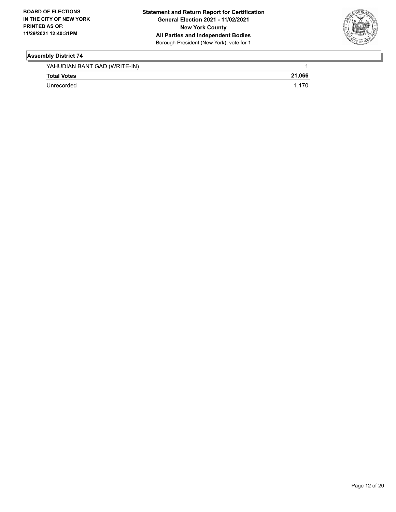

| YAHUDIAN BANT GAD (WRITE-IN) |        |
|------------------------------|--------|
| <b>Total Votes</b>           | 21.066 |
| Unrecorded                   |        |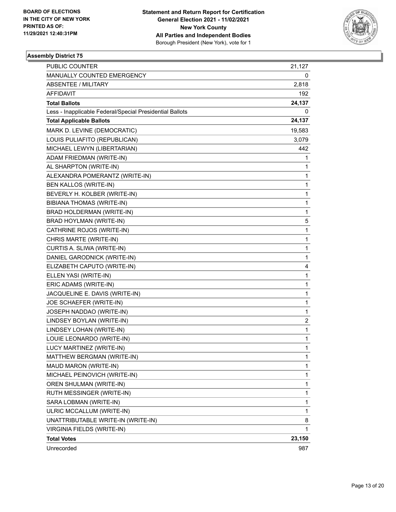

| PUBLIC COUNTER                                           | 21,127       |
|----------------------------------------------------------|--------------|
| MANUALLY COUNTED EMERGENCY                               | 0            |
| <b>ABSENTEE / MILITARY</b>                               | 2,818        |
| AFFIDAVIT                                                | 192          |
| <b>Total Ballots</b>                                     | 24,137       |
| Less - Inapplicable Federal/Special Presidential Ballots | 0            |
| <b>Total Applicable Ballots</b>                          | 24,137       |
| MARK D. LEVINE (DEMOCRATIC)                              | 19,583       |
| LOUIS PULIAFITO (REPUBLICAN)                             | 3,079        |
| MICHAEL LEWYN (LIBERTARIAN)                              | 442          |
| ADAM FRIEDMAN (WRITE-IN)                                 | 1            |
| AL SHARPTON (WRITE-IN)                                   | 1            |
| ALEXANDRA POMERANTZ (WRITE-IN)                           | 1            |
| BEN KALLOS (WRITE-IN)                                    | 1            |
| BEVERLY H. KOLBER (WRITE-IN)                             | 1            |
| BIBIANA THOMAS (WRITE-IN)                                | $\mathbf{1}$ |
| BRAD HOLDERMAN (WRITE-IN)                                | 1            |
| BRAD HOYLMAN (WRITE-IN)                                  | 5            |
| CATHRINE ROJOS (WRITE-IN)                                | $\mathbf{1}$ |
| CHRIS MARTE (WRITE-IN)                                   | 1            |
| CURTIS A. SLIWA (WRITE-IN)                               | 1            |
| DANIEL GARODNICK (WRITE-IN)                              | 1            |
| ELIZABETH CAPUTO (WRITE-IN)                              | 4            |
| ELLEN YASI (WRITE-IN)                                    | 1            |
| ERIC ADAMS (WRITE-IN)                                    | $\mathbf{1}$ |
| JACQUELINE E. DAVIS (WRITE-IN)                           | 1            |
| JOE SCHAEFER (WRITE-IN)                                  | 1            |
| JOSEPH NADDAO (WRITE-IN)                                 | 1            |
| LINDSEY BOYLAN (WRITE-IN)                                | 2            |
| LINDSEY LOHAN (WRITE-IN)                                 | 1            |
| LOUIE LEONARDO (WRITE-IN)                                | $\mathbf{1}$ |
| LUCY MARTINEZ (WRITE-IN)                                 | $\mathbf{1}$ |
| MATTHEW BERGMAN (WRITE-IN)                               | 1            |
| MAUD MARON (WRITE-IN)                                    | 1            |
| MICHAEL PEINOVICH (WRITE-IN)                             | 1            |
| OREN SHULMAN (WRITE-IN)                                  | 1            |
| RUTH MESSINGER (WRITE-IN)                                | 1            |
| SARA LOBMAN (WRITE-IN)                                   | 1            |
| ULRIC MCCALLUM (WRITE-IN)                                | 1            |
| UNATTRIBUTABLE WRITE-IN (WRITE-IN)                       | 8            |
| VIRGINIA FIELDS (WRITE-IN)                               | 1            |
| <b>Total Votes</b>                                       | 23,150       |
| Unrecorded                                               | 987          |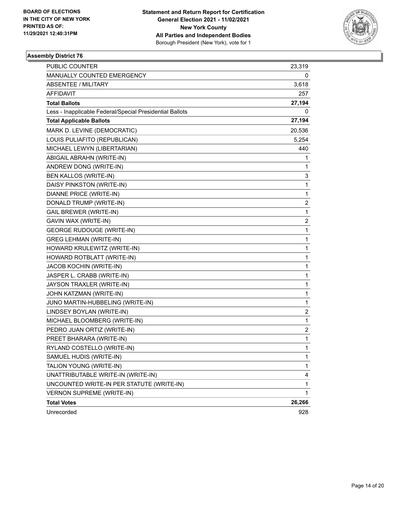

| PUBLIC COUNTER                                           | 23,319                  |
|----------------------------------------------------------|-------------------------|
| MANUALLY COUNTED EMERGENCY                               | 0                       |
| <b>ABSENTEE / MILITARY</b>                               | 3,618                   |
| AFFIDAVIT                                                | 257                     |
| <b>Total Ballots</b>                                     | 27,194                  |
| Less - Inapplicable Federal/Special Presidential Ballots | 0                       |
| <b>Total Applicable Ballots</b>                          | 27,194                  |
| MARK D. LEVINE (DEMOCRATIC)                              | 20,536                  |
| LOUIS PULIAFITO (REPUBLICAN)                             | 5,254                   |
| MICHAEL LEWYN (LIBERTARIAN)                              | 440                     |
| ABIGAIL ABRAHN (WRITE-IN)                                | 1                       |
| ANDREW DONG (WRITE-IN)                                   | 1                       |
| BEN KALLOS (WRITE-IN)                                    | 3                       |
| DAISY PINKSTON (WRITE-IN)                                | $\mathbf{1}$            |
| DIANNE PRICE (WRITE-IN)                                  | $\mathbf{1}$            |
| DONALD TRUMP (WRITE-IN)                                  | $\overline{\mathbf{c}}$ |
| <b>GAIL BREWER (WRITE-IN)</b>                            | $\mathbf{1}$            |
| GAVIN WAX (WRITE-IN)                                     | 2                       |
| <b>GEORGE RUDOUGE (WRITE-IN)</b>                         | $\mathbf{1}$            |
| <b>GREG LEHMAN (WRITE-IN)</b>                            | $\mathbf{1}$            |
| HOWARD KRULEWITZ (WRITE-IN)                              | 1                       |
| HOWARD ROTBLATT (WRITE-IN)                               | $\mathbf 1$             |
| JACOB KOCHIN (WRITE-IN)                                  | $\mathbf{1}$            |
| JASPER L. CRABB (WRITE-IN)                               | 1                       |
| JAYSON TRAXLER (WRITE-IN)                                | $\mathbf 1$             |
| JOHN KATZMAN (WRITE-IN)                                  | $\mathbf{1}$            |
| JUNO MARTIN-HUBBELING (WRITE-IN)                         | 1                       |
| LINDSEY BOYLAN (WRITE-IN)                                | $\overline{\mathbf{c}}$ |
| MICHAEL BLOOMBERG (WRITE-IN)                             | $\mathbf{1}$            |
| PEDRO JUAN ORTIZ (WRITE-IN)                              | 2                       |
| PREET BHARARA (WRITE-IN)                                 | $\mathbf{1}$            |
| RYLAND COSTELLO (WRITE-IN)                               | $\mathbf{1}$            |
| SAMUEL HUDIS (WRITE-IN)                                  | 1                       |
| TALION YOUNG (WRITE-IN)                                  | 1                       |
| UNATTRIBUTABLE WRITE-IN (WRITE-IN)                       | 4                       |
| UNCOUNTED WRITE-IN PER STATUTE (WRITE-IN)                | 1                       |
| <b>VERNON SUPREME (WRITE-IN)</b>                         | $\mathbf{1}$            |
| <b>Total Votes</b>                                       | 26,266                  |
| Unrecorded                                               | 928                     |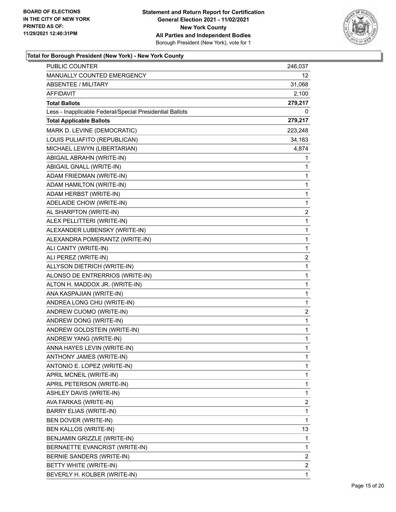

| <b>PUBLIC COUNTER</b>                                    | 246,037        |
|----------------------------------------------------------|----------------|
| MANUALLY COUNTED EMERGENCY                               | 12.            |
| <b>ABSENTEE / MILITARY</b>                               | 31,068         |
| AFFIDAVIT                                                | 2,100          |
| <b>Total Ballots</b>                                     | 279,217        |
| Less - Inapplicable Federal/Special Presidential Ballots | 0              |
| <b>Total Applicable Ballots</b>                          | 279,217        |
| MARK D. LEVINE (DEMOCRATIC)                              | 223,248        |
| LOUIS PULIAFITO (REPUBLICAN)                             | 34,163         |
| MICHAEL LEWYN (LIBERTARIAN)                              | 4,874          |
| ABIGAIL ABRAHN (WRITE-IN)                                | 1              |
| ABIGAIL GNALL (WRITE-IN)                                 | 1              |
| ADAM FRIEDMAN (WRITE-IN)                                 | 1              |
| ADAM HAMILTON (WRITE-IN)                                 | 1              |
| ADAM HERBST (WRITE-IN)                                   | 1              |
| ADELAIDE CHOW (WRITE-IN)                                 | 1              |
| AL SHARPTON (WRITE-IN)                                   | $\overline{c}$ |
| ALEX PELLITTERI (WRITE-IN)                               | 1              |
| ALEXANDER LUBENSKY (WRITE-IN)                            | 1              |
| ALEXANDRA POMERANTZ (WRITE-IN)                           | 1              |
| ALI CANTY (WRITE-IN)                                     | $\mathbf 1$    |
| ALI PEREZ (WRITE-IN)                                     | 2              |
| ALLYSON DIETRICH (WRITE-IN)                              | 1              |
| ALONSO DE ENTRERRIOS (WRITE-IN)                          | 1              |
| ALTON H. MADDOX JR. (WRITE-IN)                           | 1              |
| ANA KASPAJIAN (WRITE-IN)                                 | 1              |
| ANDREA LONG CHU (WRITE-IN)                               | 1              |
| ANDREW CUOMO (WRITE-IN)                                  | 2              |
| ANDREW DONG (WRITE-IN)                                   | 1              |
| ANDREW GOLDSTEIN (WRITE-IN)                              | 1              |
| ANDREW YANG (WRITE-IN)                                   | 1              |
| ANNA HAYES LEVIN (WRITE-IN)                              | 1              |
| ANTHONY JAMES (WRITE-IN)                                 | 1              |
| ANTONIO E. LOPEZ (WRITE-IN)                              | 1              |
| APRIL MCNEIL (WRITE-IN)                                  | 1              |
| APRIL PETERSON (WRITE-IN)                                | 1              |
| ASHLEY DAVIS (WRITE-IN)                                  | 1              |
| AVA FARKAS (WRITE-IN)                                    | 2              |
| BARRY ELIAS (WRITE-IN)                                   | 1              |
| BEN DOVER (WRITE-IN)                                     | 1              |
| BEN KALLOS (WRITE-IN)                                    | 13             |
| BENJAMIN GRIZZLE (WRITE-IN)                              | 1              |
| BERNAETTE EVANCRIST (WRITE-IN)                           | 1              |
| BERNIE SANDERS (WRITE-IN)                                | $\overline{c}$ |
| BETTY WHITE (WRITE-IN)                                   | $\overline{c}$ |
| BEVERLY H. KOLBER (WRITE-IN)                             | 1              |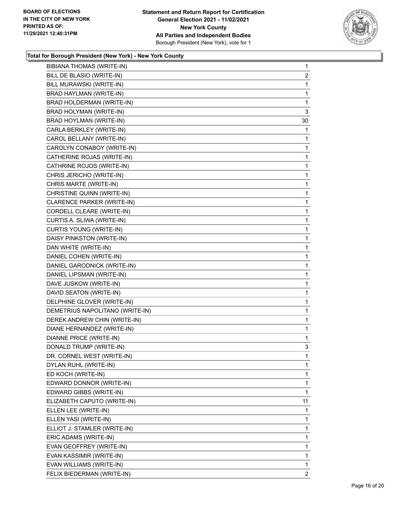

| BIBIANA THOMAS (WRITE-IN)       | $\mathbf{1}$   |
|---------------------------------|----------------|
| BILL DE BLASIO (WRITE-IN)       | $\overline{2}$ |
| BILL MURAWSKI (WRITE-IN)        | 1              |
| BRAD HAYLMAN (WRITE-IN)         | $\mathbf{1}$   |
| BRAD HOLDERMAN (WRITE-IN)       | 1              |
| BRAD HOLYMAN (WRITE-IN)         | 3              |
| BRAD HOYLMAN (WRITE-IN)         | 30             |
| CARLA BERKLEY (WRITE-IN)        | 1              |
| CAROL BELLANY (WRITE-IN)        | 1              |
| CAROLYN CONABOY (WRITE-IN)      | $\mathbf{1}$   |
| CATHERINE ROJAS (WRITE-IN)      | 1              |
| CATHRINE ROJOS (WRITE-IN)       | 1              |
| CHRIS JERICHO (WRITE-IN)        | $\mathbf{1}$   |
| CHRIS MARTE (WRITE-IN)          | 1              |
| CHRISTINE QUINN (WRITE-IN)      | 1              |
| CLARENCE PARKER (WRITE-IN)      | 1              |
| CORDELL CLEARE (WRITE-IN)       | 1              |
| CURTIS A. SLIWA (WRITE-IN)      | 1              |
| <b>CURTIS YOUNG (WRITE-IN)</b>  | $\mathbf{1}$   |
| DAISY PINKSTON (WRITE-IN)       | 1              |
| DAN WHITE (WRITE-IN)            | 1              |
| DANIEL COHEN (WRITE-IN)         | 1              |
| DANIEL GARODNICK (WRITE-IN)     | 1              |
| DANIEL LIPSMAN (WRITE-IN)       | 1              |
| DAVE JUSKOW (WRITE-IN)          | $\mathbf{1}$   |
| DAVID SEATON (WRITE-IN)         | 1              |
| DELPHINE GLOVER (WRITE-IN)      | $\mathbf{1}$   |
| DEMETRIUS NAPOLITANO (WRITE-IN) | 1              |
| DEREK ANDREW CHIN (WRITE-IN)    | 1              |
| DIANE HERNANDEZ (WRITE-IN)      | $\mathbf{1}$   |
| <b>DIANNE PRICE (WRITE-IN)</b>  | $\mathbf{1}$   |
| DONALD TRUMP (WRITE-IN)         | 3              |
| DR. CORNEL WEST (WRITE-IN)      | 1              |
| DYLAN RUHL (WRITE-IN)           | 1              |
| ED KOCH (WRITE-IN)              | 1              |
| EDWARD DONNOR (WRITE-IN)        | 1              |
| EDWARD GIBBS (WRITE-IN)         | 1              |
| ELIZABETH CAPUTO (WRITE-IN)     | 11             |
| ELLEN LEE (WRITE-IN)            | 1              |
| ELLEN YASI (WRITE-IN)           | 1              |
| ELLIOT J. STAMLER (WRITE-IN)    | 1              |
| ERIC ADAMS (WRITE-IN)           | 1              |
| EVAN GEOFFREY (WRITE-IN)        | 1              |
| EVAN KASSIMIR (WRITE-IN)        | 1              |
| EVAN WILLIAMS (WRITE-IN)        | 1              |
| FELIX BIEDERMAN (WRITE-IN)      | 2              |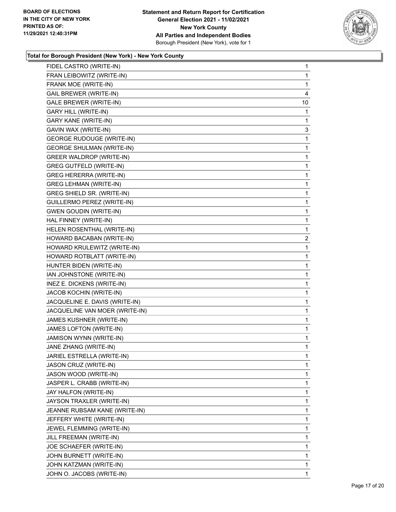

| FIDEL CASTRO (WRITE-IN)          | $\mathbf{1}$   |
|----------------------------------|----------------|
| FRAN LEIBOWITZ (WRITE-IN)        | 1              |
| FRANK MOE (WRITE-IN)             | 1              |
| <b>GAIL BREWER (WRITE-IN)</b>    | 4              |
| GALE BREWER (WRITE-IN)           | 10             |
| <b>GARY HILL (WRITE-IN)</b>      | 1              |
| <b>GARY KANE (WRITE-IN)</b>      | 1              |
| GAVIN WAX (WRITE-IN)             | 3              |
| <b>GEORGE RUDOUGE (WRITE-IN)</b> | 1              |
| <b>GEORGE SHULMAN (WRITE-IN)</b> | 1              |
| <b>GREER WALDROP (WRITE-IN)</b>  | 1              |
| <b>GREG GUTFELD (WRITE-IN)</b>   | 1              |
| <b>GREG HERERRA (WRITE-IN)</b>   | $\mathbf{1}$   |
| <b>GREG LEHMAN (WRITE-IN)</b>    | 1              |
| GREG SHIELD SR. (WRITE-IN)       | 1              |
| GUILLERMO PEREZ (WRITE-IN)       | 1              |
| <b>GWEN GOUDIN (WRITE-IN)</b>    | 1              |
| HAL FINNEY (WRITE-IN)            | 1              |
| HELEN ROSENTHAL (WRITE-IN)       | $\mathbf{1}$   |
| HOWARD BACABAN (WRITE-IN)        | $\overline{c}$ |
| HOWARD KRULEWITZ (WRITE-IN)      | 1              |
| HOWARD ROTBLATT (WRITE-IN)       | 1              |
| HUNTER BIDEN (WRITE-IN)          | 1              |
| IAN JOHNSTONE (WRITE-IN)         | 1              |
| INEZ E. DICKENS (WRITE-IN)       | 1              |
| JACOB KOCHIN (WRITE-IN)          | 1              |
| JACQUELINE E. DAVIS (WRITE-IN)   | 1              |
| JACQUELINE VAN MOER (WRITE-IN)   | 1              |
| JAMES KUSHNER (WRITE-IN)         | 1              |
| JAMES LOFTON (WRITE-IN)          | 1              |
| JAMISON WYNN (WRITE-IN)          | $\mathbf{1}$   |
| JANE ZHANG (WRITE-IN)            | 1              |
| JARIEL ESTRELLA (WRITE-IN)       | 1              |
| JASON CRUZ (WRITE-IN)            | 1              |
| JASON WOOD (WRITE-IN)            | 1              |
| JASPER L. CRABB (WRITE-IN)       | 1              |
| JAY HALFON (WRITE-IN)            | 1              |
| JAYSON TRAXLER (WRITE-IN)        | 1              |
| JEANNE RUBSAM KANE (WRITE-IN)    | 1              |
| JEFFERY WHITE (WRITE-IN)         | 1              |
| JEWEL FLEMMING (WRITE-IN)        | 1              |
| JILL FREEMAN (WRITE-IN)          | 1              |
| JOE SCHAEFER (WRITE-IN)          | 1              |
| JOHN BURNETT (WRITE-IN)          | 1              |
| JOHN KATZMAN (WRITE-IN)          | 1              |
| JOHN O. JACOBS (WRITE-IN)        | 1              |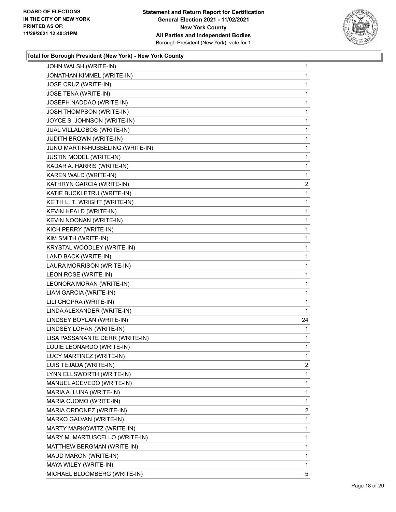

| JONATHAN KIMMEL (WRITE-IN)       | $\mathbf{1}$   |
|----------------------------------|----------------|
|                                  | 1              |
| JOSE CRUZ (WRITE-IN)             | 1              |
| JOSE TENA (WRITE-IN)             | 1              |
| JOSEPH NADDAO (WRITE-IN)         | 1              |
| JOSH THOMPSON (WRITE-IN)         | 1              |
| JOYCE S. JOHNSON (WRITE-IN)      | 1              |
| JUAL VILLALOBOS (WRITE-IN)       | 1              |
| <b>JUDITH BROWN (WRITE-IN)</b>   | 1              |
| JUNO MARTIN-HUBBELING (WRITE-IN) | 1              |
| JUSTIN MODEL (WRITE-IN)          | 1              |
| KADAR A. HARRIS (WRITE-IN)       | 1              |
| KAREN WALD (WRITE-IN)            | 1              |
| KATHRYN GARCIA (WRITE-IN)        | $\overline{2}$ |
| KATIE BUCKLETRU (WRITE-IN)       | 1              |
| KEITH L. T. WRIGHT (WRITE-IN)    | 1              |
| KEVIN HEALD (WRITE-IN)           | 1              |
| KEVIN NOONAN (WRITE-IN)          | 1              |
| KICH PERRY (WRITE-IN)            | 1              |
| KIM SMITH (WRITE-IN)             | 1              |
| KRYSTAL WOODLEY (WRITE-IN)       | 1              |
| LAND BACK (WRITE-IN)             | 1              |
| LAURA MORRISON (WRITE-IN)        | 1              |
| LEON ROSE (WRITE-IN)             | 1              |
| LEONORA MORAN (WRITE-IN)         | 1              |
| LIAM GARCIA (WRITE-IN)           | 1              |
| LILI CHOPRA (WRITE-IN)           | 1              |
| LINDA ALEXANDER (WRITE-IN)       | 1              |
|                                  |                |
| LINDSEY BOYLAN (WRITE-IN)        | 24             |
| LINDSEY LOHAN (WRITE-IN)         | 1              |
| LISA PASSANANTE DERR (WRITE-IN)  | 1              |
| LOUIE LEONARDO (WRITE-IN)        | 1              |
| LUCY MARTINEZ (WRITE-IN)         | 1              |
| LUIS TEJADA (WRITE-IN)           | $\overline{2}$ |
| LYNN ELLSWORTH (WRITE-IN)        | 1              |
| MANUEL ACEVEDO (WRITE-IN)        | 1              |
| MARIA A. LUNA (WRITE-IN)         | 1              |
| MARIA CUOMO (WRITE-IN)           | 1              |
| MARIA ORDONEZ (WRITE-IN)         | 2              |
| MARKO GALVAN (WRITE-IN)          | 1              |
| MARTY MARKOWITZ (WRITE-IN)       | 1              |
| MARY M. MARTUSCELLO (WRITE-IN)   | 1              |
| MATTHEW BERGMAN (WRITE-IN)       | 1              |
| MAUD MARON (WRITE-IN)            | 1              |
| MAYA WILEY (WRITE-IN)            | 1              |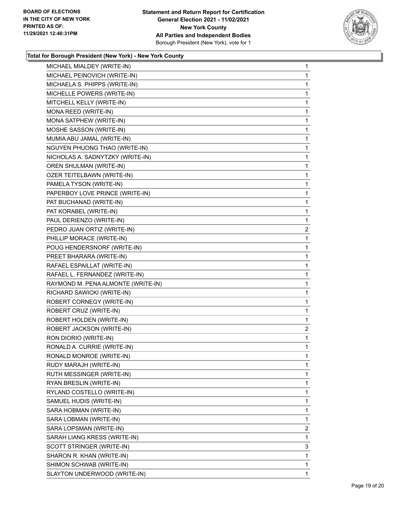

| MICHAEL MIALDEY (WRITE-IN)         | 1              |
|------------------------------------|----------------|
| MICHAEL PEINOVICH (WRITE-IN)       | 1              |
| MICHAELA S. PHIPPS (WRITE-IN)      | 1              |
| MICHELLE POWERS (WRITE-IN)         | 1              |
| MITCHELL KELLY (WRITE-IN)          | 1              |
| MONA REED (WRITE-IN)               | 1              |
| MONA SATPHEW (WRITE-IN)            | 1              |
| MOSHE SASSON (WRITE-IN)            | 1              |
| MUMIA ABU JAMAL (WRITE-IN)         | 1              |
| NGUYEN PHUONG THAO (WRITE-IN)      | 1              |
| NICHOLAS A. SADNYTZKY (WRITE-IN)   | 1              |
| OREN SHULMAN (WRITE-IN)            | 1              |
| OZER TEITELBAWN (WRITE-IN)         | 1              |
| PAMELA TYSON (WRITE-IN)            | 1              |
| PAPERBOY LOVE PRINCE (WRITE-IN)    | 1              |
| PAT BUCHANAD (WRITE-IN)            | 1              |
| PAT KORABEL (WRITE-IN)             | 1              |
| PAUL DERIENZO (WRITE-IN)           | 1              |
| PEDRO JUAN ORTIZ (WRITE-IN)        | $\overline{2}$ |
| PHILLIP MORACE (WRITE-IN)          | 1              |
| POUG HENDERSNORF (WRITE-IN)        | 1              |
| PREET BHARARA (WRITE-IN)           | 1              |
| RAFAEL ESPAILLAT (WRITE-IN)        | 1              |
| RAFAEL L. FERNANDEZ (WRITE-IN)     | 1              |
| RAYMOND M. PENA ALMONTE (WRITE-IN) | 1              |
| RICHARD SAWICKI (WRITE-IN)         | 1              |
| ROBERT CORNEGY (WRITE-IN)          | 1              |
| ROBERT CRUZ (WRITE-IN)             | 1              |
| ROBERT HOLDEN (WRITE-IN)           | 1              |
| ROBERT JACKSON (WRITE-IN)          | $\overline{2}$ |
| RON DIORIO (WRITE-IN)              | 1              |
| RONALD A. CURRIE (WRITE-IN)        | 1              |
| RONALD MONROE (WRITE-IN)           | 1              |
| RUDY MARAJH (WRITE-IN)             | 1              |
| RUTH MESSINGER (WRITE-IN)          | 1              |
| RYAN BRESLIN (WRITE-IN)            | 1              |
| RYLAND COSTELLO (WRITE-IN)         | 1              |
| SAMUEL HUDIS (WRITE-IN)            | 1              |
| SARA HOBMAN (WRITE-IN)             | 1              |
| SARA LOBMAN (WRITE-IN)             | 1              |
| SARA LOPSMAN (WRITE-IN)            | 2              |
| SARAH LIANG KRESS (WRITE-IN)       | 1              |
| SCOTT STRINGER (WRITE-IN)          | 3              |
| SHARON R. KHAN (WRITE-IN)          | 1              |
| SHIMON SCHWAB (WRITE-IN)           | 1              |
| SLAYTON UNDERWOOD (WRITE-IN)       | 1              |
|                                    |                |